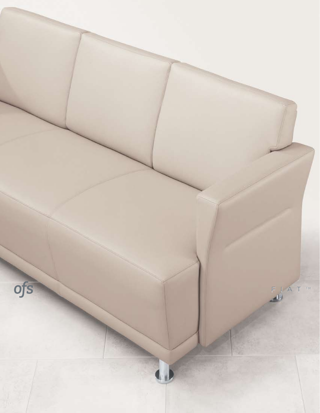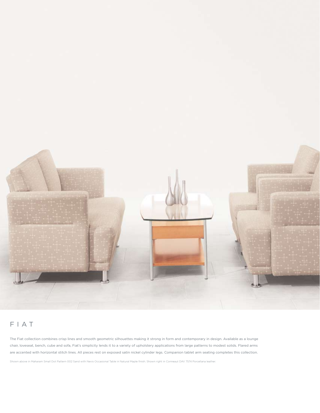

## FIAT

The Fiat collection combines crisp lines and smooth geometric silhouettes making it strong in form and contemporary in design. Available as a lounge chair, loveseat, bench, cube and sofa, Fiat's simplicity lends it to a variety of upholstery applications from large patterns to modest solids. Flared arms are accented with horizontal stitch lines. All pieces rest on exposed satin nickel cylinder legs. Companion tablet arm seating completes this collection.

Shown above in Maharam Small Dot Pattern 002 Sand with Nevis Occasional Table in Natural Maple finish. Shown right in Conneaut DAV 7574 Porcellana leather.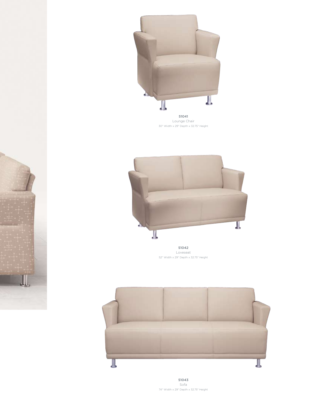

Lounge Chair 30" Width x 29" Depth x 32.75" Height



51042 Loveseat 52" Width x 29" Depth x 32.75" Height

IJ



51043 Sofa 74" Width x 29" Depth x 32.75" Height